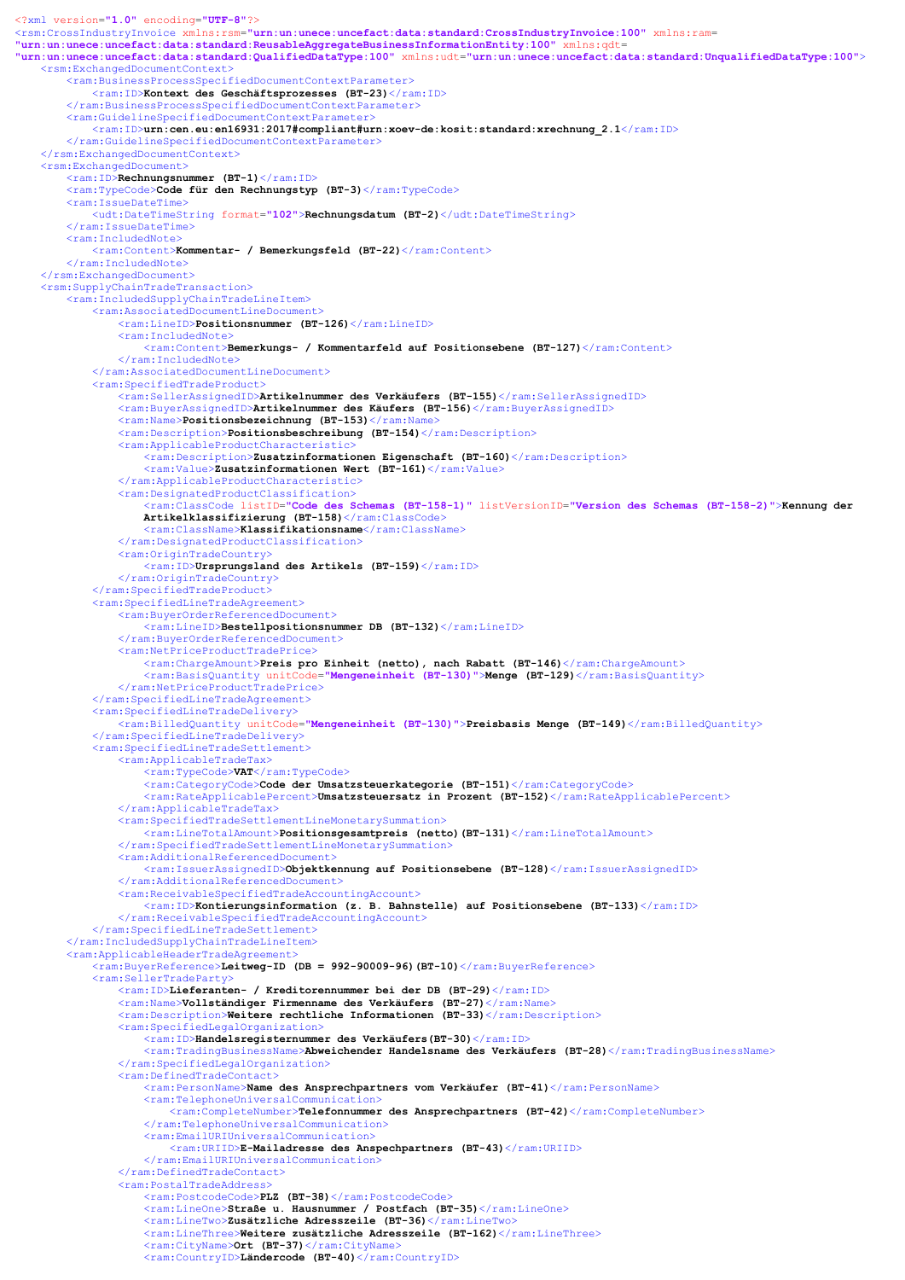```
<?xml version="1.0" encoding="UTF-8"?>
<rsm:CrossIndustryInvoice xmlns:rsm="urn:un:unece:uncefact:data:standard:CrossIndustryInvoice:100" xmlns:ram=
"urn:un:unece:uncefact:data:standard:ReusableAggregateBusinessInformationEntity:100" xmlns:qdt=
"urn:un:unece:uncefact:data:standard:QualifiedDataType:100" xmlns:udt="urn:un:unece:uncefact:data:standard:UnqualifiedDataType:100">
    <rsm:ExchangedDocumentContext>
        <ram:BusinessProcessSpecifiedDocumentContextParameter>
            <ram:ID>Kontext des Geschäftsprozesses (BT-23)</ram:ID>
        </ram:BusinessProcessSpecifiedDocumentContextParameter>
        <ram:GuidelineSpecifiedDocumentContextParameter>
            <ram:ID>urn:cen.eu:en16931:2017#compliant#urn:xoev-de:kosit:standard:xrechnung 2.1</ram:ID>
        </ram:GuidelineSpecifiedDocumentContextParameter>
    </rsm:ExchangedDocumentContext>
    <rsm:ExchangedDocument>
        <ram:ID>Rechnungsnummer (BT-1)</ram:ID>
        <ram:TypeCode>Code für den Rechnungstyp (BT-3)</ram:TypeCode>
        <ram:IssueDateTime>
            <udt:DateTimeString format="102">Rechnungsdatum (BT-2)</udt:DateTimeString>
        \langle/ram:IssueDateTime>
        <ram:IncludedNote>
            <ram:Content>Kommentar- / Bemerkungsfeld (BT-22)</ram:Content>
        </ram:IncludedNote>
    </rsm:ExchangedDocument>
    <rsm:SupplyChainTradeTransaction>
        <ram:IncludedSupplyChainTradeLineItem>
            <ram:AssociatedDocumentLineDocument>
                <ram:LineID>Positionsnummer (BT-126)</ram:LineID>
                <ram:IncludedNote>
                    <ram:Content>Bemerkungs- / Kommentarfeld auf Positionsebene (BT-127)</ram:Content>
                </ram:IncludedNote>
            </ram:AssociatedDocumentLineDocument>
            <ram:SpecifiedTradeProduct>
                <ram:SellerAssignedID>Artikelnummer des Verkäufers (BT-155)</ram:SellerAssignedID>
                <ram:BuyerAssignedID>Artikelnummer des Käufers (BT-156)</ram:BuyerAssignedID>
                <ram:Name>Positionsbezeichnung (BT-153)</ram:Name>
                <ram:Description>Positionsbeschreibung (BT-154)</ram:Description>
                <ram:ApplicableProductCharacteristic>
                    <ram:Description>Zusatzinformationen Eigenschaft (BT-160)</ram:Description>
                    <ram:Value>Zusatzinformationen Wert (BT-161)</ram:Value>
                </ram:ApplicableProductCharacteristic>
                <ram:DesignatedProductClassification>
                    <ram:ClassCode listID="Code des Schemas (BT-158-1)" listVersionID="Version des Schemas (BT-158-2)">Kennung der 
                    Artikelklassifizierung (BT-158)</ram:ClassCode>
                    \langle \texttt{ram:ClassName>Klassifikationsname}\rangle/\langle \texttt{ram:ClassName}\rangle</ram:DesignatedProductClassification>
                <ram:OriginTradeCountry>
                    <ram:ID>Ursprungsland des Artikels (BT-159)</ram:ID>
                </ram:OriginTradeCountry>
            </ram:SpecifiedTradeProduct>
            <ram:SpecifiedLineTradeAgreement>
                <ram:BuyerOrderReferencedDocument>
                    <ram:LineID>Bestellpositionsnummer DB (BT-132)</ram:LineID>
                </ram:BuyerOrderReferencedDocument>
                <ram:NetPriceProductTradePrice>
                    <ram:ChargeAmount>Preis pro Einheit (netto), nach Rabatt (BT-146)</ram:ChargeAmount>
                    <ram:BasisQuantity unitCode="Mengeneinheit (BT-130)">Menge (BT-129)</ram:BasisQuantity>
                </ram:NetPriceProductTradePrice>
            </ram:SpecifiedLineTradeAgreement>
            <ram:SpecifiedLineTradeDelivery>
                <ram:BilledQuantity unitCode="Mengeneinheit (BT-130)">Preisbasis Menge (BT-149)</ram:BilledQuantity>
            </ram:SpecifiedLineTradeDelivery>
            <ram:SpecifiedLineTradeSettlement>
                <ram:ApplicableTradeTax>
                    <ram:TypeCode>VAT</ram:TypeCode>
                    <ram:CategoryCode>Code der Umsatzsteuerkategorie (BT-151)</ram:CategoryCode>
                    <ram:RateApplicablePercent>Umsatzsteuersatz in Prozent (BT-152)</ram:RateApplicablePercent>
                </ram:ApplicableTradeTax>
                <ram:SpecifiedTradeSettlementLineMonetarySummation>
                    <ram:LineTotalAmount>Positionsgesamtpreis (netto)(BT-131)</ram:LineTotalAmount>
                </ram:SpecifiedTradeSettlementLineMonetarySummation>
                <ram:AdditionalReferencedDocument>
                    <ram:IssuerAssignedID>Objektkennung auf Positionsebene (BT-128)</ram:IssuerAssignedID>
                </ram:AdditionalReferencedDocument>
                <ram:ReceivableSpecifiedTradeAccountingAccount>
                    <ram:ID>Kontierungsinformation (z. B. Bahnstelle) auf Positionsebene (BT-133)</ram:ID>
                </ram:ReceivableSpecifiedTradeAccountingAccount>
            </ram:SpecifiedLineTradeSettlement>
        </ram:IncludedSupplyChainTradeLineItem>
        <ram:ApplicableHeaderTradeAgreement>
```
ram:BuyerReference>Leitweg-ID (DB = 992-90009-96)(BT-10)</ram:BuyerReference> <ram:SellerTradeParty>

<ram:ID>Lieferanten- / Kreditorennummer bei der DB (BT-29)</ram:ID>

<ram:Name>Vollständiger Firmenname des Verkäufers (BT-27)</ram:Name>

<ram:Description>Weitere rechtliche Informationen (BT-33)</ram:Description>

<ram:SpecifiedLegalOrganization>

<ram:ID>Handelsregisternummer des Verkäufers(BT-30)</ram:ID>

<ram:TradingBusinessName>Abweichender Handelsname des Verkäufers (BT-28)</ram:TradingBusinessName> </ram:SpecifiedLegalOrganization>

<ram:DefinedTradeContact>

<ram:PersonName>Name des Ansprechpartners vom Verkäufer (BT-41)</ram:PersonName>

<ram:TelephoneUniversalCommunication>

<ram:CompleteNumber>Telefonnummer des Ansprechpartners (BT-42)</ram:CompleteNumber>

</ram:TelephoneUniversalCommunication>

<ram:EmailURIUniversalCommunication>

<ram:URIID>E-Mailadresse des Anspechpartners (BT-43)</ram:URIID>

 $\langle$ /ram:EmailURIUniversalCommunication>

</ram:DefinedTradeContact>

<ram:PostalTradeAddress>

<ram:PostcodeCode>PLZ (BT-38)</ram:PostcodeCode>

<ram:LineOne>Straße u. Hausnummer / Postfach (BT-35)</ram:LineOne>

<ram:LineTwo>Zusätzliche Adresszeile (BT-36)</ram:LineTwo>

<ram:LineThree>Weitere zusätzliche Adresszeile (BT-162)</ram:LineThree>

<ram:CityName>Ort (BT-37)</ram:CityName>

<ram:CountryID>Ländercode (BT-40)</ram:CountryID>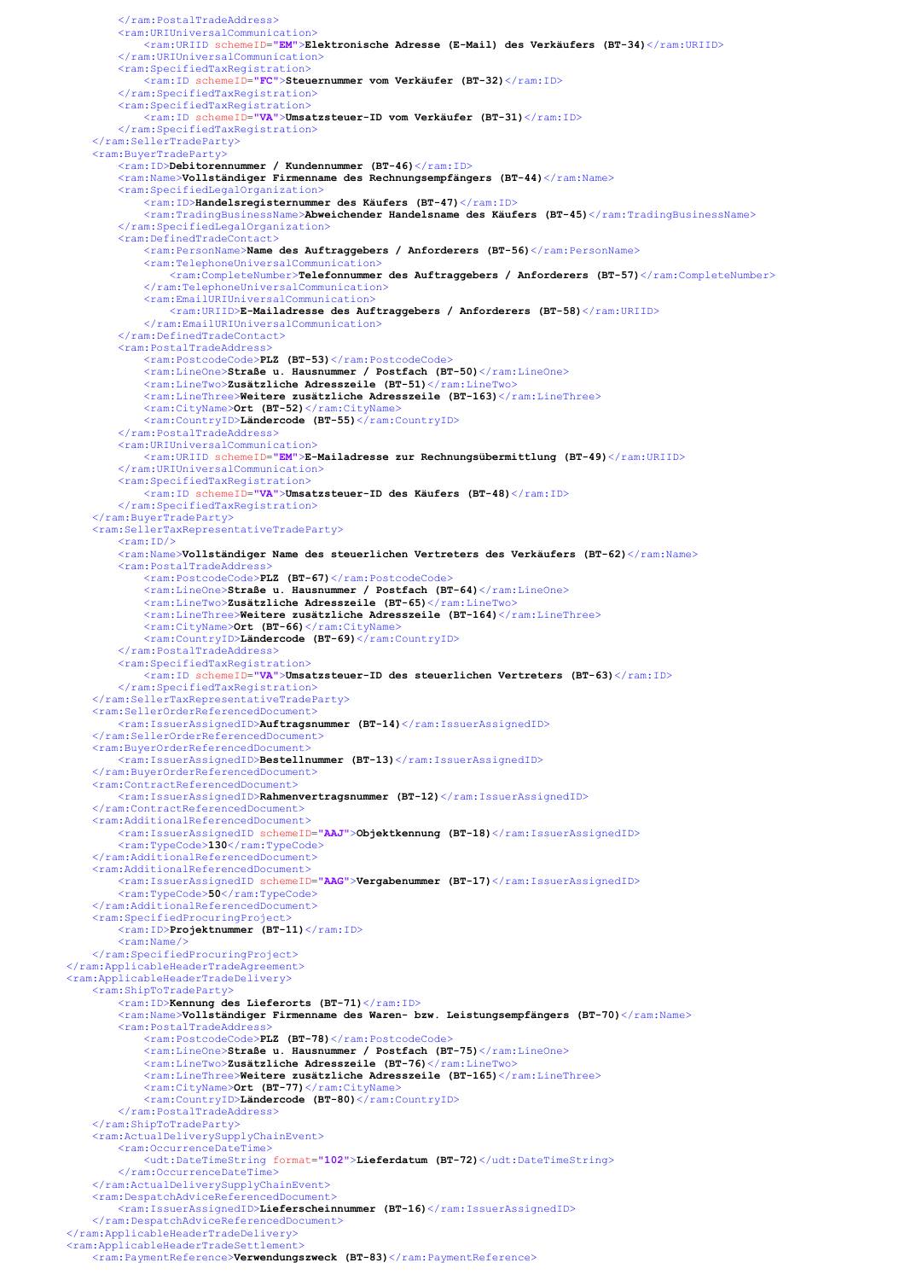```
</ram:PostalTradeAddress>
        <ram:URIUniversalCommunication>
            <ram:URIID schemeID="EM">Elektronische Adresse (E-Mail) des Verkäufers (BT-34)</ram:URIID>
        </ram:URIUniversalCommunication>
        <ram:SpecifiedTaxRegistration>
            <ram:ID schemeID="FC">Steuernummer vom Verkäufer (BT-32)</ram:ID>
        </ram:SpecifiedTaxRegistration>
        <ram:SpecifiedTaxRegistration>
            <ram:ID schemeID="VA">Umsatzsteuer-ID vom Verkäufer (BT-31)</ram:ID>
        </ram:SpecifiedTaxRegistration>
    </ram:SellerTradeParty>
    <ram:BuyerTradeParty>
        <ram:ID>Debitorennummer / Kundennummer (BT-46)</ram:ID>
        <ram:Name>Vollständiger Firmenname des Rechnungsempfängers (BT-44)</ram:Name>
        <ram:SpecifiedLegalOrganization>
            <ram:ID>Handelsregisternummer des Käufers (BT-47)</ram:ID>
            <ram:TradingBusinessName>Abweichender Handelsname des Käufers (BT-45)</ram:TradingBusinessName>
        </ram:SpecifiedLegalOrganization>
        <ram:DefinedTradeContact>
            <ram:PersonName>Name des Auftraggebers / Anforderers (BT-56)</ram:PersonName>
            <ram:TelephoneUniversalCommunication>
                <ram:CompleteNumber>Telefonnummer des Auftraggebers / Anforderers (BT-57)</ram:CompleteNumber>
            </ram:TelephoneUniversalCommunication>
            <ram:EmailURIUniversalCommunication>
                <ram:URIID>E-Mailadresse des Auftraggebers / Anforderers (BT-58)</ram:URIID>
            \langle /ram:EmailURIUniversalCommunication>
        </ram:DefinedTradeContact>
        <ram:PostalTradeAddress>
            <ram:PostcodeCode>PLZ (BT-53)</ram:PostcodeCode>
            <ram:LineOne>Straße u. Hausnummer / Postfach (BT-50)</ram:LineOne>
            <ram:LineTwo>Zusätzliche Adresszeile (BT-51)</ram:LineTwo>
            <ram:LineThree>Weitere zusätzliche Adresszeile (BT-163)</ram:LineThree>
            <ram:CityName>Ort (BT-52)</ram:CityName>
            <ram:CountryID>Ländercode (BT-55)</ram:CountryID>
        </ram:PostalTradeAddress>
        <ram:URIUniversalCommunication>
            <ram:URIID schemeID="EM">E-Mailadresse zur Rechnungsübermittlung (BT-49)</ram:URIID>
        </ram:URIUniversalCommunication>
        <ram:SpecifiedTaxRegistration>
            <ram:ID schemeID="VA">Umsatzsteuer-ID des Käufers (BT-48)</ram:ID>
        </ram:SpecifiedTaxRegistration>
   </ram:BuyerTradeParty>
   <ram:SellerTaxRepresentativeTradeParty>
        <ram:ID/<ram:Name>Vollständiger Name des steuerlichen Vertreters des Verkäufers (BT-62)</ram:Name>
        <ram:PostalTradeAddress>
            <ram:PostcodeCode>PLZ (BT-67)</ram:PostcodeCode>
            <ram:LineOne>Straße u. Hausnummer / Postfach (BT-64)</ram:LineOne>
            <ram:LineTwo>Zusätzliche Adresszeile (BT-65)</ram:LineTwo>
            <ram:LineThree>Weitere zusätzliche Adresszeile (BT-164)</ram:LineThree>
            <ram:CityName>Ort (BT-66)</ram:CityName>
            <ram:CountryID>Ländercode (BT-69)</ram:CountryID>
        </ram:PostalTradeAddress>
        <ram:SpecifiedTaxRegistration>
            <tam:ID schemeID="VA">Umsatzsteuer-ID des steuerlichen Vertreters (BT-63)</ram:ID>
        </ram:SpecifiedTaxRegistration>
   </ram:SellerTaxRepresentativeTradeParty>
   <ram:SellerOrderReferencedDocument>
        <ram:IssuerAssignedID>Auftragsnummer (BT-14)</ram:IssuerAssignedID>
   </ram:SellerOrderReferencedDocument>
   <ram:BuyerOrderReferencedDocument>
        <ram:IssuerAssignedID>Bestellnummer (BT-13)</ram:IssuerAssignedID>
   </ram:BuyerOrderReferencedDocument>
   <ram:ContractReferencedDocument>
        <ram:IssuerAssignedID>Rahmenvertragsnummer (BT-12)</ram:IssuerAssignedID>
   </ram:ContractReferencedDocument>
   <ram:AdditionalReferencedDocument>
        <ram:IssuerAssignedID schemeID="AAJ">Objektkennung (BT-18)</ram:IssuerAssignedID>
        <ram:TypeCode>130</ram:TypeCode>
    </ram:AdditionalReferencedDocument>
    <ram:AdditionalReferencedDocument>
        <ram:IssuerAssignedID schemeID="AAG">Vergabenummer (BT-17)</ram:IssuerAssignedID>
        <ram:TypeCode>50</ram:TypeCode>
    </ram:AdditionalReferencedDocument>
    <ram:SpecifiedProcuringProject>
        \langle \texttt{ram:ID>Projectnummer} (BT-11) \langle \texttt{ram:ID>}\langleram:Name/</ram:SpecifiedProcuringProject>
 /ram:ApplicableHeaderTradeAgreement
<ram:ApplicableHeaderTradeDelivery>
   <ram:ShipToTradeParty>
       <ram:ID>Kennung des Lieferorts (BT-71)</ram:ID>
        <tam:Name>Vollständiger Firmenname des Waren- bzw. Leistungsempfängers (BT-70)</ram:Name>
        <ram:PostalTradeAddress>
            <ram:PostcodeCode>PLZ (BT-78)</ram:PostcodeCode>
            <ram:LineOne>Straße u. Hausnummer / Postfach (BT-75)</ram:LineOne>
            <ram:LineTwo>Zusätzliche Adresszeile (BT-76)</ram:LineTwo>
            <ram:LineThree>Weitere zusätzliche Adresszeile (BT-165)</ram:LineThree>
            <ram:CityName>Ort (BT-77)</ram:CityName>
            <ram:CountryID>Ländercode (BT-80)</ram:CountryID>
        </ram:PostalTradeAddress>
   </ram:ShipToTradeParty>
   <ram:ActualDeliverySupplyChainEvent>
       <ram:OccurrenceDateTime>
            <udt:DateTimeString format="102">Lieferdatum (BT-72)</udt:DateTimeString>
        </ram:OccurrenceDateTime>
   </ram:ActualDeliverySupplyChainEvent>
   <ram:DespatchAdviceReferencedDocument>
        <ram:IssuerAssignedID>Lieferscheinnummer (BT-16)</ram:IssuerAssignedID>
   </ram:DespatchAdviceReferencedDocument>
</ram:ApplicableHeaderTradeDelivery>
<ram:ApplicableHeaderTradeSettlement>
    <ram:PaymentReference>Verwendungszweck (BT-83)</ram:PaymentReference>
```